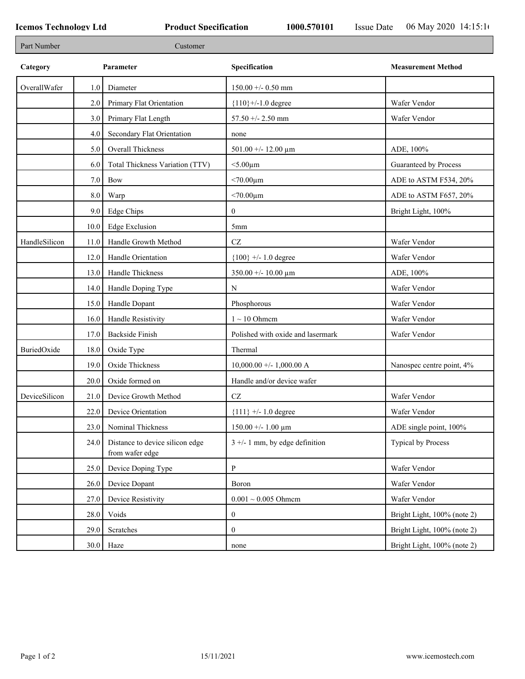| Part Number   |      | Customer                                           |                                   |                             |
|---------------|------|----------------------------------------------------|-----------------------------------|-----------------------------|
| Category      |      | Parameter                                          | Specification                     | <b>Measurement Method</b>   |
| OverallWafer  | 1.0  | Diameter                                           | $150.00 + - 0.50$ mm              |                             |
|               | 2.0  | Primary Flat Orientation                           | ${110}$ +/-1.0 degree             | Wafer Vendor                |
|               | 3.0  | Primary Flat Length                                | 57.50 +/- 2.50 mm                 | Wafer Vendor                |
|               | 4.0  | Secondary Flat Orientation                         | none                              |                             |
|               | 5.0  | Overall Thickness                                  | 501.00 +/- 12.00 $\mu$ m          | ADE, 100%                   |
|               | 6.0  | Total Thickness Variation (TTV)                    | $<$ 5.00 $\mu$ m                  | Guaranteed by Process       |
|               | 7.0  | <b>Bow</b>                                         | $< 70.00 \mu m$                   | ADE to ASTM F534, 20%       |
|               | 8.0  | Warp                                               | $< 70.00 \mu m$                   | ADE to ASTM F657, 20%       |
|               | 9.0  | Edge Chips                                         | $\mathbf{0}$                      | Bright Light, 100%          |
|               | 10.0 | <b>Edge Exclusion</b>                              | 5 <sub>mm</sub>                   |                             |
| HandleSilicon | 11.0 | Handle Growth Method                               | $\operatorname{CZ}$               | Wafer Vendor                |
|               | 12.0 | Handle Orientation                                 | ${100}$ +/- 1.0 degree            | Wafer Vendor                |
|               | 13.0 | Handle Thickness                                   | $350.00 + - 10.00 \mu m$          | ADE, 100%                   |
|               | 14.0 | Handle Doping Type                                 | N                                 | Wafer Vendor                |
|               | 15.0 | Handle Dopant                                      | Phosphorous                       | Wafer Vendor                |
|               | 16.0 | Handle Resistivity                                 | $1 \sim 10$ Ohmem                 | Wafer Vendor                |
|               | 17.0 | <b>Backside Finish</b>                             | Polished with oxide and lasermark | Wafer Vendor                |
| BuriedOxide   | 18.0 | Oxide Type                                         | Thermal                           |                             |
|               | 19.0 | Oxide Thickness                                    | $10,000.00 +/- 1,000.00 A$        | Nanospec centre point, 4%   |
|               | 20.0 | Oxide formed on                                    | Handle and/or device wafer        |                             |
| DeviceSilicon | 21.0 | Device Growth Method                               | $\operatorname{CZ}$               | Wafer Vendor                |
|               | 22.0 | Device Orientation                                 | ${111}$ +/- 1.0 degree            | Wafer Vendor                |
|               | 23.0 | Nominal Thickness                                  | $150.00 + - 1.00 \mu m$           | ADE single point, 100%      |
|               | 24.0 | Distance to device silicon edge<br>from wafer edge | $3 +/- 1$ mm, by edge definition  | Typical by Process          |
|               | 25.0 | Device Doping Type                                 | $\, {\bf P}$                      | Wafer Vendor                |
|               | 26.0 | Device Dopant                                      | Boron                             | Wafer Vendor                |
|               | 27.0 | Device Resistivity                                 | $0.001 \sim 0.005$ Ohmem          | Wafer Vendor                |
|               | 28.0 | Voids                                              | $\mathbf{0}$                      | Bright Light, 100% (note 2) |
|               | 29.0 | Scratches                                          | $\mathbf{0}$                      | Bright Light, 100% (note 2) |
|               |      | $30.0$ Haze                                        | none                              | Bright Light, 100% (note 2) |